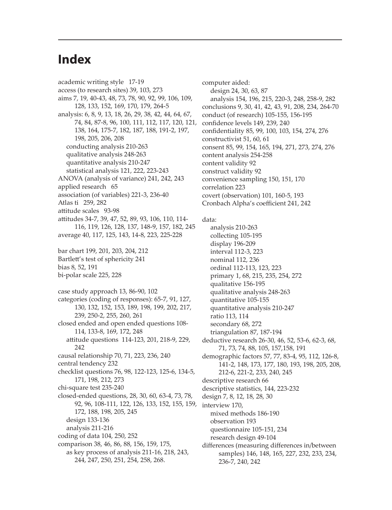## **Index**

academic writing style 17-19 access (to research sites) 39, 103, 273 aims 7, 19, 40-43, 48, 73, 78, 90, 92, 99, 106, 109, 128, 133, 152, 169, 170, 179, 264-5 analysis: 6, 8, 9, 13, 18, 26, 29, 38, 42, 44, 64, 67, 74, 84, 87-8, 96, 100, 111, 112, 117, 120, 121, 138, 164, 175-7, 182, 187, 188, 191-2, 197, 198, 205, 206, 208 conducting analysis 210-263 qualitative analysis 248-263 quantitative analysis 210-247 statistical analysis 121, 222, 223-243 ANOVA (analysis of variance) 241, 242, 243 applied research 65 association (of variables) 221-3, 236-40 Atlas ti 259, 282 attitude scales 93-98 attitudes 34-7, 39, 47, 52, 89, 93, 106, 110, 114- 116, 119, 126, 128, 137, 148-9, 157, 182, 245 average 40, 117, 125, 143, 14-8, 223, 225-228 bar chart 199, 201, 203, 204, 212 Bartlett's test of sphericity 241 bias 8, 52, 191 bi-polar scale 225, 228 case study approach 13, 86-90, 102 categories (coding of responses): 65-7, 91, 127, 130, 132, 152, 153, 189, 198, 199, 202, 217, 239, 250-2, 255, 260, 261 closed ended and open ended questions 108- 114, 133-8, 169, 172, 248 attitude questions 114-123, 201, 218-9, 229, 242 causal relationship 70, 71, 223, 236, 240 central tendency 232 checklist questions 76, 98, 122-123, 125-6, 134-5, 171, 198, 212, 273 chi-square test 235-240 closed-ended questions, 28, 30, 60, 63-4, 73, 78, 92, 96, 108-111, 122, 126, 133, 152, 155, 159, 172, 188, 198, 205, 245 design 133-136 analysis 211-216 coding of data 104, 250, 252 comparison 38, 46, 86, 88, 156, 159, 175, as key process of analysis 211-16, 218, 243, 244, 247, 250, 251, 254, 258, 268.

computer aided: design 24, 30, 63, 87 analysis 154, 196, 215, 220-3, 248, 258-9, 282 conclusions 9, 30, 41, 42, 43, 91, 208, 234, 264-70 conduct (of research) 105-155, 156-195 confidence levels 149, 239, 240 confidentiality 85, 99, 100, 103, 154, 274, 276 constructivist 51, 60, 61 consent 85, 99, 154, 165, 194, 271, 273, 274, 276 content analysis 254-258 content validity 92 construct validity 92 convenience sampling 150, 151, 170 correlation 223 covert (observation) 101, 160-5, 193 Cronbach Alpha's coefficient 241, 242

data:

analysis 210-263 collecting 105-195 display 196-209 interval 112-3, 223 nominal 112, 236 ordinal 112-113, 123, 223 primary 1, 68, 215, 235, 254, 272 qualitative 156-195 qualitative analysis 248-263 quantitative 105-155 quantitative analysis 210-247 ratio 113, 114 secondary 68, 272 triangulation 87, 187-194 deductive research 26-30, 46, 52, 53-6, 62-3, 68, 71, 73, 74, 88, 105, 157,158, 191 demographic factors 57, 77, 83-4, 95, 112, 126-8, 141-2, 148, 173, 177, 180, 193, 198, 205, 208, 212-6, 221-2, 233, 240, 245 descriptive research 66 descriptive statistics, 144, 223-232 design 7, 8, 12, 18, 28, 30 interview 170, mixed methods 186-190 observation 193 questionnaire 105-151, 234 research design 49-104 differences (measuring differences in/between samples) 146, 148, 165, 227, 232, 233, 234, 236-7, 240, 242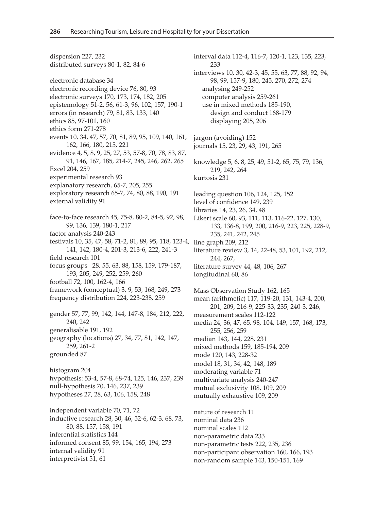dispersion 227, 232 distributed surveys 80-1, 82, 84-6 electronic database 34 electronic recording device 76, 80, 93 electronic surveys 170, 173, 174, 182, 205 epistemology 51-2, 56, 61-3, 96, 102, 157, 190-1 errors (in research) 79, 81, 83, 133, 140 ethics 85, 97-101, 160 ethics form 271-278 events 10, 34, 47, 57, 70, 81, 89, 95, 109, 140, 161, 162, 166, 180, 215, 221 evidence 4, 5, 8, 9, 25, 27, 53, 57-8, 70, 78, 83, 87, 91, 146, 167, 185, 214-7, 245, 246, 262, 265 Excel 204, 259 experimental research 93 explanatory research, 65-7, 205, 255 exploratory research 65-7, 74, 80, 88, 190, 191 external validity 91 face-to-face research 45, 75-8, 80-2, 84-5, 92, 98, 99, 136, 139, 180-1, 217 factor analysis 240-243 festivals 10, 35, 47, 58, 71-2, 81, 89, 95, 118, 123-4, 141, 142, 180-4, 201-3, 213-6, 222, 241-3 field research 101 focus groups 28, 55, 63, 88, 158, 159, 179-187, 193, 205, 249, 252, 259, 260 football 72, 100, 162-4, 166 framework (conceptual) 3, 9, 53, 168, 249, 273 frequency distribution 224, 223-238, 259 gender 57, 77, 99, 142, 144, 147-8, 184, 212, 222, 240, 242 generalisable 191, 192 geography (locations) 27, 34, 77, 81, 142, 147, 259, 261-2 grounded 87 histogram 204 hypothesis: 53-4, 57-8, 68-74, 125, 146, 237, 239 null-hypothesis 70, 146, 237, 239 hypotheses 27, 28, 63, 106, 158, 248 independent variable 70, 71, 72 inductive research 28, 30, 46, 52-6, 62-3, 68, 73, 80, 88, 157, 158, 191 inferential statistics 144 informed consent 85, 99, 154, 165, 194, 273 internal validity 91 interpretivist 51, 61

interval data 112-4, 116-7, 120-1, 123, 135, 223, 233 interviews 10, 30, 42-3, 45, 55, 63, 77, 88, 92, 94, 98, 99, 157-9, 180, 245, 270, 272, 274 analysing 249-252 computer analysis 259-261 use in mixed methods 185-190, design and conduct 168-179 displaying 205, 206 jargon (avoiding) 152 journals 15, 23, 29, 43, 191, 265 knowledge 5, 6, 8, 25, 49, 51-2, 65, 75, 79, 136, 219, 242, 264 kurtosis 231 leading question 106, 124, 125, 152 level of confidence 149, 239 libraries 14, 23, 26, 34, 48 Likert scale 60, 93, 111, 113, 116-22, 127, 130, 133, 136-8, 199, 200, 216-9, 223, 225, 228-9, 235, 241, 242, 245 line graph 209, 212 literature review 3, 14, 22-48, 53, 101, 192, 212, 244, 267, literature survey 44, 48, 106, 267 longitudinal 60, 86 Mass Observation Study 162, 165 mean (arithmetic) 117, 119-20, 131, 143-4, 200, 201, 209, 216-9, 225-33, 235, 240-3, 246, measurement scales 112-122 media 24, 36, 47, 65, 98, 104, 149, 157, 168, 173, 255, 256, 259 median 143, 144, 228, 231 mixed methods 159, 185-194, 209 mode 120, 143, 228-32 model 18, 31, 34, 42, 148, 189 moderating variable 71 multivariate analysis 240-247 mutual exclusivity 108, 109, 209 mutually exhaustive 109, 209 nature of research 11 nominal data 236 nominal scales 112 non-parametric data 233

non-parametric tests 222, 235, 236

non-participant observation 160, 166, 193 non-random sample 143, 150-151, 169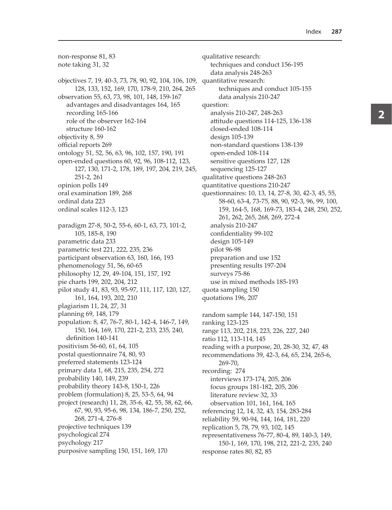non-response 81, 83 note taking 31, 32 objectives 7, 19, 40-3, 73, 78, 90, 92, 104, 106, 109, 128, 133, 152, 169, 170, 178-9, 210, 264, 265 observation 55, 63, 73, 98, 101, 148, 159-167 advantages and disadvantages 164, 165 recording 165-166 role of the observer 162-164 structure 160-162 objectivity 8, 59 official reports 269 ontology 51, 52, 56, 63, 96, 102, 157, 190, 191 open-ended questions 60, 92, 96, 108-112, 123, 127, 130, 171-2, 178, 189, 197, 204, 219, 245, 251-2, 261 opinion polls 149 oral examination 189, 268 ordinal data 223 ordinal scales 112-3, 123 paradigm 27-8, 50-2, 55-6, 60-1, 63, 73, 101-2, 105, 185-8, 190 parametric data 233 parametric test 221, 222, 235, 236 participant observation 63, 160, 166, 193 phenomenology 51, 56, 60-65 philosophy 12, 29, 49-104, 151, 157, 192 pie charts 199, 202, 204, 212 pilot study 41, 83, 93, 95-97, 111, 117, 120, 127, 161, 164, 193, 202, 210 plagiarism 11, 24, 27, 31 planning 69, 148, 179 population: 8, 47, 76-7, 80-1, 142-4, 146-7, 149, 150, 164, 169, 170, 221-2, 233, 235, 240, definition 140-141 positivism 56-60, 61, 64, 105 postal questionnaire 74, 80, 93 preferred statements 123-124 primary data 1, 68, 215, 235, 254, 272 probability 140, 149, 239 probability theory 143-8, 150-1, 226 problem (formulation) 8, 25, 53-5, 64, 94 project (research) 11, 28, 35-6, 42, 55, 58, 62, 66, 67, 90, 93, 95-6, 98, 134, 186-7, 250, 252, 268, 271-4, 276-8 projective techniques 139 psychological 274 psychology 217 purposive sampling 150, 151, 169, 170

qualitative research: techniques and conduct 156-195 data analysis 248-263 quantitative research: techniques and conduct 105-155 data analysis 210-247 question: analysis 210-247, 248-263 attitude questions 114-125, 136-138 closed-ended 108-114 design 105-139 non-standard questions 138-139 open-ended 108-114 sensitive questions 127, 128 sequencing 125-127 qualitative questions 248-263 quantitative questions 210-247 questionnaires: 10, 13, 14, 27-8, 30, 42-3, 45, 55, 58-60, 63-4, 73-75, 88, 90, 92-3, 96, 99, 100, 159, 164-5, 168, 169-73, 183-4, 248, 250, 252, 261, 262, 265, 268, 269, 272-4 analysis 210-247 confidentiality 99-102 design 105-149 pilot 96-98 preparation and use 152 presenting results 197-204 surveys 75-86 use in mixed methods 185-193 quota sampling 150 quotations 196, 207 random sample 144, 147-150, 151 ranking 123-125 range 113, 202, 218, 223, 226, 227, 240 ratio 112, 113-114, 145 reading with a purpose, 20, 28-30, 32, 47, 48 recommendations 39, 42-3, 64, 65, 234, 265-6, 269-70, recording: 274 interviews 173-174, 205, 206 focus groups 181-182, 205, 206 literature review 32, 33 observation 101, 161, 164, 165 referencing 12, 14, 32, 43, 154, 283-284 reliability 59, 90-94, 144, 164, 181, 220 replication 5, 78, 79, 93, 102, 145 representativeness 76-77, 80-4, 89, 140-3, 149, 150-1, 169, 170, 198, 212, 221-2, 235, 240 response rates 80, 82, 85